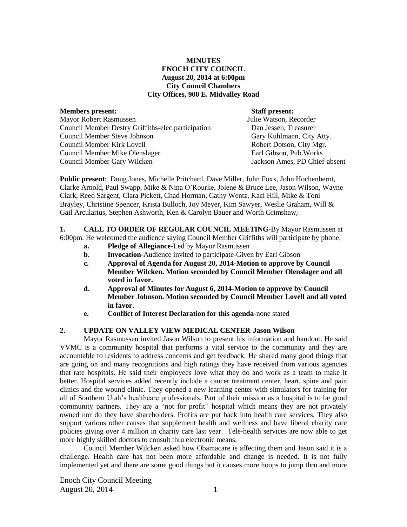# **MINUTES ENOCH CITY COUNCIL August 20, 2014 at 6:00pm City Council Chambers City Offices, 900 E. Midvalley Road**

**Members present:** Staff present:<br>
Mayor Robert Rasmussen<br>
Mayor Robert Rasmussen<br>
Staff present: Staff present: Mayor Robert Rasmussen Council Member Destry Griffiths-elec.participation Dan Jessen, Treasurer Council Member Steve Johnson Council Member Kirk Lovell **Robert Dotson, City Mgr.** Robert Dotson, City Mgr. Council Member Mike Olenslager Earl Gibson, Pub.Works Council Member Gary Wilcken Jackson Ames, PD Chief-absent

**Public present**: Doug Jones, Michelle Pritchard, Dave Miller, John Foxx, John Hochenbernt, Clarke Arnold, Paul Swapp, Mike & Nina O'Rourke, Jolene & Bruce Lee, Jason Wilson, Wayne Clark, Reed Sargent, Clara Pickett, Chad Horman, Cathy Wentz, Kaci Hill, Mike & Toni Brayley, Christine Spencer, Krista Bulloch, Joy Meyer, Kim Sawyer, Weslie Graham, Will & Gail Arcularius, Stephen Ashworth, Ken & Carolyn Bauer and Worth Grimshaw,

**1. CALL TO ORDER OF REGULAR COUNCIL MEETING-**By Mayor Rasmussen at 6:00pm. He welcomed the audience saying Council Member Griffiths will participate by phone.

- **a. Pledge of Allegiance-**Led by Mayor Rasmussen
- **b. Invocation-**Audience invited to participate-Given by Earl Gibson
- **c. Approval of Agenda for August 20, 2014-Motion to approve by Council Member Wilcken. Motion seconded by Council Member Olenslager and all voted in favor.**
- **d. Approval of Minutes for August 6, 2014-Motion to approve by Council Member Johnson. Motion seconded by Council Member Lovell and all voted in favor.**
- **e. Conflict of Interest Declaration for this agenda-**none stated

# **2. UPDATE ON VALLEY VIEW MEDICAL CENTER-Jason Wilson**

Mayor Rasmussen invited Jason Wilson to present his information and handout. He said VVMC is a community hospital that performs a vital service to the community and they are accountable to residents to address concerns and get feedback. He shared many good things that are going on and many recognitions and high ratings they have received from various agencies that rate hospitals. He said their employees love what they do and work as a team to make it better. Hospital services added recently include a cancer treatment center, heart, spine and pain clinics and the wound clinic. They opened a new learning center with simulators for training for all of Southern Utah's healthcare professionals. Part of their mission as a hospital is to be good community partners. They are a "not for profit" hospital which means they are not privately owned nor do they have shareholders. Profits are put back into health care services. They also support various other causes that supplement health and wellness and have liberal charity care policies giving over 4 million in charity care last year. Tele-health services are now able to get more highly skilled doctors to consult thru electronic means.

Council Member Wilcken asked how Obamacare is affecting them and Jason said it is a challenge. Health care has not been more affordable and change is needed. It is not fully implemented yet and there are some good things but it causes more hoops to jump thru and more

Enoch City Council Meeting August 20, 2014 1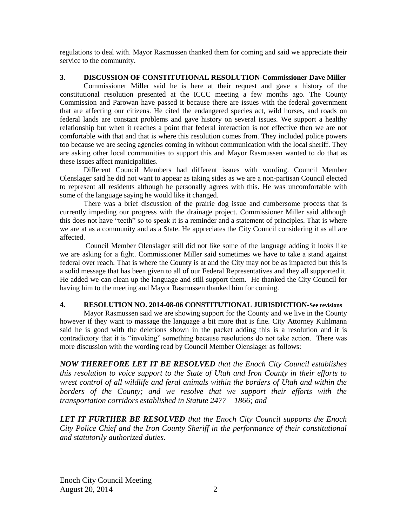regulations to deal with. Mayor Rasmussen thanked them for coming and said we appreciate their service to the community.

## **3. DISCUSSION OF CONSTITUTIONAL RESOLUTION-Commissioner Dave Miller**

Commissioner Miller said he is here at their request and gave a history of the constitutional resolution presented at the ICCC meeting a few months ago. The County Commission and Parowan have passed it because there are issues with the federal government that are affecting our citizens. He cited the endangered species act, wild horses, and roads on federal lands are constant problems and gave history on several issues. We support a healthy relationship but when it reaches a point that federal interaction is not effective then we are not comfortable with that and that is where this resolution comes from. They included police powers too because we are seeing agencies coming in without communication with the local sheriff. They are asking other local communities to support this and Mayor Rasmussen wanted to do that as these issues affect municipalities.

Different Council Members had different issues with wording. Council Member Olenslager said he did not want to appear as taking sides as we are a non-partisan Council elected to represent all residents although he personally agrees with this. He was uncomfortable with some of the language saying he would like it changed.

There was a brief discussion of the prairie dog issue and cumbersome process that is currently impeding our progress with the drainage project. Commissioner Miller said although this does not have "teeth" so to speak it is a reminder and a statement of principles. That is where we are at as a community and as a State. He appreciates the City Council considering it as all are affected.

Council Member Olenslager still did not like some of the language adding it looks like we are asking for a fight. Commissioner Miller said sometimes we have to take a stand against federal over reach. That is where the County is at and the City may not be as impacted but this is a solid message that has been given to all of our Federal Representatives and they all supported it. He added we can clean up the language and still support them.He thanked the City Council for having him to the meeting and Mayor Rasmussen thanked him for coming.

### **4. RESOLUTION NO. 2014-08-06 CONSTITUTIONAL JURISDICTION-See revisions**

Mayor Rasmussen said we are showing support for the County and we live in the County however if they want to massage the language a bit more that is fine. City Attorney Kuhlmann said he is good with the deletions shown in the packet adding this is a resolution and it is contradictory that it is "invoking" something because resolutions do not take action. There was more discussion with the wording read by Council Member Olenslager as follows:

*NOW THEREFORE LET IT BE RESOLVED that the Enoch City Council establishes this resolution to voice support to the State of Utah and Iron County in their efforts to wrest control of all wildlife and feral animals within the borders of Utah and within the*  borders of the County; and we resolve that we support their efforts with the *transportation corridors established in Statute 2477 – 1866; and*

*LET IT FURTHER BE RESOLVED that the Enoch City Council supports the Enoch City Police Chief and the Iron County Sheriff in the performance of their constitutional and statutorily authorized duties.*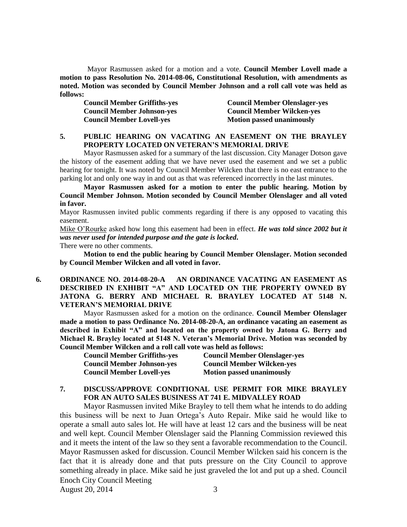Mayor Rasmussen asked for a motion and a vote. **Council Member Lovell made a motion to pass Resolution No. 2014-08-06, Constitutional Resolution, with amendments as noted. Motion was seconded by Council Member Johnson and a roll call vote was held as follows:** 

**Council Member Griffiths-yes Council Member Olenslager-yes Council Member Johnson-yes Council Member Wilcken-yes Council Member Lovell-yes Motion passed unanimously** 

## **5. PUBLIC HEARING ON VACATING AN EASEMENT ON THE BRAYLEY PROPERTY LOCATED ON VETERAN'S MEMORIAL DRIVE**

Mayor Rasmussen asked for a summary of the last discussion. City Manager Dotson gave the history of the easement adding that we have never used the easement and we set a public hearing for tonight. It was noted by Council Member Wilcken that there is no east entrance to the parking lot and only one way in and out as that was referenced incorrectly in the last minutes.

**Mayor Rasmussen asked for a motion to enter the public hearing. Motion by Council Member Johnson. Motion seconded by Council Member Olenslager and all voted in favor.**

Mayor Rasmussen invited public comments regarding if there is any opposed to vacating this easement.

Mike O'Rourke asked how long this easement had been in effect. *He was told since 2002 but it was never used for intended purpose and the gate is locked***.**

There were no other comments.

**Motion to end the public hearing by Council Member Olenslager. Motion seconded by Council Member Wilcken and all voted in favor.**

### **6. ORDINANCE NO. 2014-08-20-A AN ORDINANCE VACATING AN EASEMENT AS DESCRIBED IN EXHIBIT "A" AND LOCATED ON THE PROPERTY OWNED BY JATONA G. BERRY AND MICHAEL R. BRAYLEY LOCATED AT 5148 N. VETERAN'S MEMORIAL DRIVE**

Mayor Rasmussen asked for a motion on the ordinance. **Council Member Olenslager made a motion to pass Ordinance No. 2014-08-20-A, an ordinance vacating an easement as described in Exhibit "A" and located on the property owned by Jatona G. Berry and Michael R. Brayley located at 5148 N. Veteran's Memorial Drive. Motion was seconded by Council Member Wilcken and a roll call vote was held as follows:** 

**Council Member Griffiths-yes Council Member Olenslager-yes Council Member Johnson-yes Council Member Wilcken-yes Council Member Lovell-ves Motion passed unanimously** 

# **7. DISCUSS/APPROVE CONDITIONAL USE PERMIT FOR MIKE BRAYLEY FOR AN AUTO SALES BUSINESS AT 741 E. MIDVALLEY ROAD**

Enoch City Council Meeting Mayor Rasmussen invited Mike Brayley to tell them what he intends to do adding this business will be next to Juan Ortega's Auto Repair. Mike said he would like to operate a small auto sales lot. He will have at least 12 cars and the business will be neat and well kept. Council Member Olenslager said the Planning Commission reviewed this and it meets the intent of the law so they sent a favorable recommendation to the Council. Mayor Rasmussen asked for discussion. Council Member Wilcken said his concern is the fact that it is already done and that puts pressure on the City Council to approve something already in place. Mike said he just graveled the lot and put up a shed. Council

August 20, 2014 3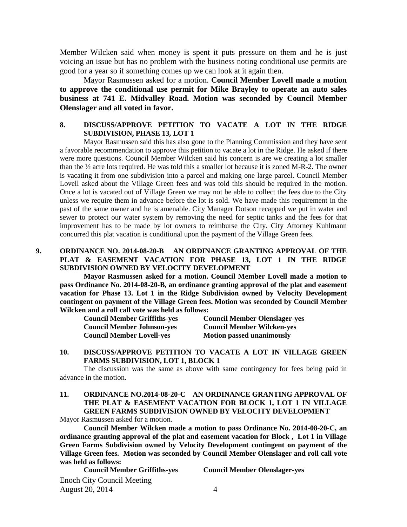Member Wilcken said when money is spent it puts pressure on them and he is just voicing an issue but has no problem with the business noting conditional use permits are good for a year so if something comes up we can look at it again then.

Mayor Rasmussen asked for a motion. **Council Member Lovell made a motion to approve the conditional use permit for Mike Brayley to operate an auto sales business at 741 E. Midvalley Road. Motion was seconded by Council Member Olenslager and all voted in favor.**

# **8. DISCUSS/APPROVE PETITION TO VACATE A LOT IN THE RIDGE SUBDIVISION, PHASE 13, LOT 1**

Mayor Rasmussen said this has also gone to the Planning Commission and they have sent a favorable recommendation to approve this petition to vacate a lot in the Ridge. He asked if there were more questions. Council Member Wilcken said his concern is are we creating a lot smaller than the ½ acre lots required. He was told this a smaller lot because it is zoned M-R-2. The owner is vacating it from one subdivision into a parcel and making one large parcel. Council Member Lovell asked about the Village Green fees and was told this should be required in the motion. Once a lot is vacated out of Village Green we may not be able to collect the fees due to the City unless we require them in advance before the lot is sold. We have made this requirement in the past of the same owner and he is amenable. City Manager Dotson recapped we put in water and sewer to protect our water system by removing the need for septic tanks and the fees for that improvement has to be made by lot owners to reimburse the City. City Attorney Kuhlmann concurred this plat vacation is conditional upon the payment of the Village Green fees.

# **9. ORDINANCE NO. 2014-08-20-B AN ORDINANCE GRANTING APPROVAL OF THE PLAT & EASEMENT VACATION FOR PHASE 13, LOT 1 IN THE RIDGE SUBDIVISION OWNED BY VELOCITY DEVELOPMENT**

**Mayor Rasmussen asked for a motion. Council Member Lovell made a motion to pass Ordinance No. 2014-08-20-B, an ordinance granting approval of the plat and easement vacation for Phase 13. Lot 1 in the Ridge Subdivision owned by Velocity Development contingent on payment of the Village Green fees. Motion was seconded by Council Member Wilcken and a roll call vote was held as follows:**

| <b>Council Member Griffiths-yes</b> | <b>Council Member Olenslager-yes</b> |
|-------------------------------------|--------------------------------------|
| <b>Council Member Johnson-yes</b>   | <b>Council Member Wilcken-yes</b>    |
| <b>Council Member Lovell-yes</b>    | <b>Motion passed unanimously</b>     |

### **10. DISCUSS/APPROVE PETITION TO VACATE A LOT IN VILLAGE GREEN FARMS SUBDIVISION, LOT 1, BLOCK 1**

The discussion was the same as above with same contingency for fees being paid in advance in the motion.

# **11. ORDINANCE NO.2014-08-20-C AN ORDINANCE GRANTING APPROVAL OF THE PLAT & EASEMENT VACATION FOR BLOCK 1, LOT 1 IN VILLAGE GREEN FARMS SUBDIVISION OWNED BY VELOCITY DEVELOPMENT**

Mayor Rasmussen asked for a motion.

**Council Member Wilcken made a motion to pass Ordinance No. 2014-08-20-C, an ordinance granting approval of the plat and easement vacation for Block , Lot 1 in Village Green Farms Subdivision owned by Velocity Development contingent on payment of the Village Green fees. Motion was seconded by Council Member Olenslager and roll call vote was held as follows:**

| <b>Council Member Griffiths-yes</b> | <b>Council Member Olenslager-yes</b> |
|-------------------------------------|--------------------------------------|
| <b>Enoch City Council Meeting</b>   |                                      |
| August 20, 2014                     |                                      |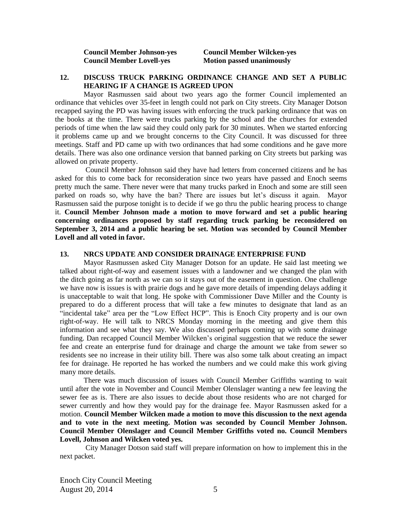**Council Member Johnson-yes Council Member Wilcken-yes Council Member Lovell-yes Motion passed unanimously** 

#### **12. DISCUSS TRUCK PARKING ORDINANCE CHANGE AND SET A PUBLIC HEARING IF A CHANGE IS AGREED UPON**

Mayor Rasmussen said about two years ago the former Council implemented an ordinance that vehicles over 35-feet in length could not park on City streets. City Manager Dotson recapped saying the PD was having issues with enforcing the truck parking ordinance that was on the books at the time. There were trucks parking by the school and the churches for extended periods of time when the law said they could only park for 30 minutes. When we started enforcing it problems came up and we brought concerns to the City Council. It was discussed for three meetings. Staff and PD came up with two ordinances that had some conditions and he gave more details. There was also one ordinance version that banned parking on City streets but parking was allowed on private property.

Council Member Johnson said they have had letters from concerned citizens and he has asked for this to come back for reconsideration since two years have passed and Enoch seems pretty much the same. There never were that many trucks parked in Enoch and some are still seen parked on roads so, why have the ban? There are issues but let's discuss it again. Mayor Rasmussen said the purpose tonight is to decide if we go thru the public hearing process to change it. **Council Member Johnson made a motion to move forward and set a public hearing concerning ordinances proposed by staff regarding truck parking be reconsidered on September 3, 2014 and a public hearing be set. Motion was seconded by Council Member Lovell and all voted in favor.** 

#### **13. NRCS UPDATE AND CONSIDER DRAINAGE ENTERPRISE FUND**

Mayor Rasmussen asked City Manager Dotson for an update. He said last meeting we talked about right-of-way and easement issues with a landowner and we changed the plan with the ditch going as far north as we can so it stays out of the easement in question. One challenge we have now is issues is with prairie dogs and he gave more details of impending delays adding it is unacceptable to wait that long. He spoke with Commissioner Dave Miller and the County is prepared to do a different process that will take a few minutes to designate that land as an "incidental take" area per the "Low Effect HCP". This is Enoch City property and is our own right-of-way. He will talk to NRCS Monday morning in the meeting and give them this information and see what they say. We also discussed perhaps coming up with some drainage funding. Dan recapped Council Member Wilcken's original suggestion that we reduce the sewer fee and create an enterprise fund for drainage and charge the amount we take from sewer so residents see no increase in their utility bill. There was also some talk about creating an impact fee for drainage. He reported he has worked the numbers and we could make this work giving many more details.

There was much discussion of issues with Council Member Griffiths wanting to wait until after the vote in November and Council Member Olenslager wanting a new fee leaving the sewer fee as is. There are also issues to decide about those residents who are not charged for sewer currently and how they would pay for the drainage fee. Mayor Rasmussen asked for a motion. **Council Member Wilcken made a motion to move this discussion to the next agenda and to vote in the next meeting. Motion was seconded by Council Member Johnson. Council Member Olenslager and Council Member Griffiths voted no. Council Members Lovell, Johnson and Wilcken voted yes.**

City Manager Dotson said staff will prepare information on how to implement this in the next packet.

Enoch City Council Meeting August 20, 2014 5